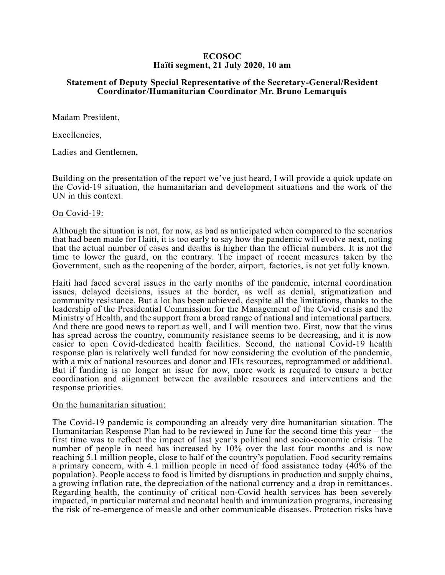## **ECOSOC Haïti segment, 21 July 2020, 10 am**

# **Statement of Deputy Special Representative of the Secretary-General/Resident Coordinator/Humanitarian Coordinator Mr. Bruno Lemarquis**

Madam President,

Excellencies,

Ladies and Gentlemen,

Building on the presentation of the report we've just heard, I will provide a quick update on the Covid-19 situation, the humanitarian and development situations and the work of the UN in this context.

### On Covid-19:

Although the situation is not, for now, as bad as anticipated when compared to the scenarios that had been made for Haiti, it is too early to say how the pandemic will evolve next, noting that the actual number of cases and deaths is higher than the official numbers. It is not the time to lower the guard, on the contrary. The impact of recent measures taken by the Government, such as the reopening of the border, airport, factories, is not yet fully known.

Haiti had faced several issues in the early months of the pandemic, internal coordination issues, delayed decisions, issues at the border, as well as denial, stigmatization and community resistance. But a lot has been achieved, despite all the limitations, thanks to the leadership of the Presidential Commission for the Management of the Covid crisis and the Ministry of Health, and the support from a broad range of national and international partners. And there are good news to report as well, and I will mention two. First, now that the virus has spread across the country, community resistance seems to be decreasing, and it is now easier to open Covid-dedicated health facilities. Second, the national Covid-19 health response plan is relatively well funded for now considering the evolution of the pandemic, with a mix of national resources and donor and IFIs resources, reprogrammed or additional. But if funding is no longer an issue for now, more work is required to ensure a better coordination and alignment between the available resources and interventions and the response priorities.

### On the humanitarian situation:

The Covid-19 pandemic is compounding an already very dire humanitarian situation. The Humanitarian Response Plan had to be reviewed in June for the second time this year – the first time was to reflect the impact of last year's political and socio-economic crisis. The number of people in need has increased by 10% over the last four months and is now reaching 5.1 million people, close to half of the country's population. Food security remains a primary concern, with 4.1 million people in need of food assistance today (40% of the population). People access to food is limited by disruptions in production and supply chains, a growing inflation rate, the depreciation of the national currency and a drop in remittances. Regarding health, the continuity of critical non-Covid health services has been severely impacted, in particular maternal and neonatal health and immunization programs, increasing the risk of re-emergence of measle and other communicable diseases. Protection risks have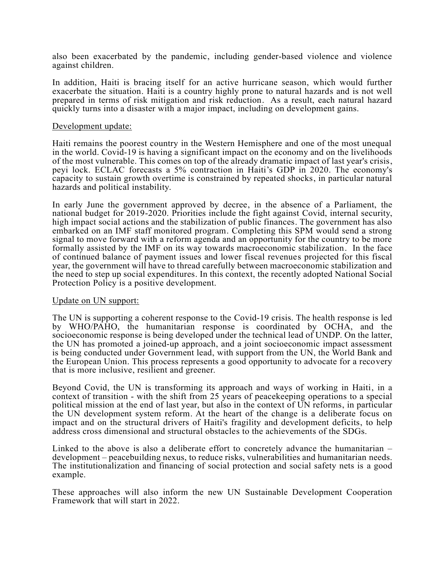also been exacerbated by the pandemic, including gender-based violence and violence against children.

In addition, Haiti is bracing itself for an active hurricane season, which would further exacerbate the situation. Haiti is a country highly prone to natural hazards and is not well prepared in terms of risk mitigation and risk reduction. As a result, each natural hazard quickly turns into a disaster with a major impact, including on development gains.

#### Development update:

Haiti remains the poorest country in the Western Hemisphere and one of the most unequal in the world. Covid-19 is having a significant impact on the economy and on the livelihoods of the most vulnerable. This comes on top of the already dramatic impact of last year's crisis, peyi lock. ECLAC forecasts a 5% contraction in Haiti's GDP in 2020. The economy's capacity to sustain growth overtime is constrained by repeated shocks, in particular natural hazards and political instability.

In early June the government approved by decree, in the absence of a Parliament, the national budget for 2019-2020. Priorities include the fight against Covid, internal security, high impact social actions and the stabilization of public finances. The government has also embarked on an IMF staff monitored program. Completing this SPM would send a strong signal to move forward with a reform agenda and an opportunity for the country to be more formally assisted by the IMF on its way towards macroeconomic stabilization. In the face of continued balance of payment issues and lower fiscal revenues projected for this fiscal year, the government will have to thread carefully between macroeconomic stabilization and the need to step up social expenditures. In this context, the recently adopted National Social Protection Policy is a positive development.

### Update on UN support:

The UN is supporting a coherent response to the Covid-19 crisis. The health response is led by WHO/PAHO, the humanitarian response is coordinated by OCHA, and the socioeconomic response is being developed under the technical lead of UNDP. On the latter, the UN has promoted a joined-up approach, and a joint socioeconomic impact assessment is being conducted under Government lead, with support from the UN, the World Bank and the European Union. This process represents a good opportunity to advocate for a recovery that is more inclusive, resilient and greener.

Beyond Covid, the UN is transforming its approach and ways of working in Haiti, in a context of transition - with the shift from 25 years of peacekeeping operations to a special political mission at the end of last year, but also in the context of UN reforms, in particular the UN development system reform. At the heart of the change is a deliberate focus on impact and on the structural drivers of Haiti's fragility and development deficits, to help address cross dimensional and structural obstacles to the achievements of the SDGs.

Linked to the above is also a deliberate effort to concretely advance the humanitarian – development – peacebuilding nexus, to reduce risks, vulnerabilities and humanitarian needs. The institutionalization and financing of social protection and social safety nets is a good example.

These approaches will also inform the new UN Sustainable Development Cooperation Framework that will start in 2022.